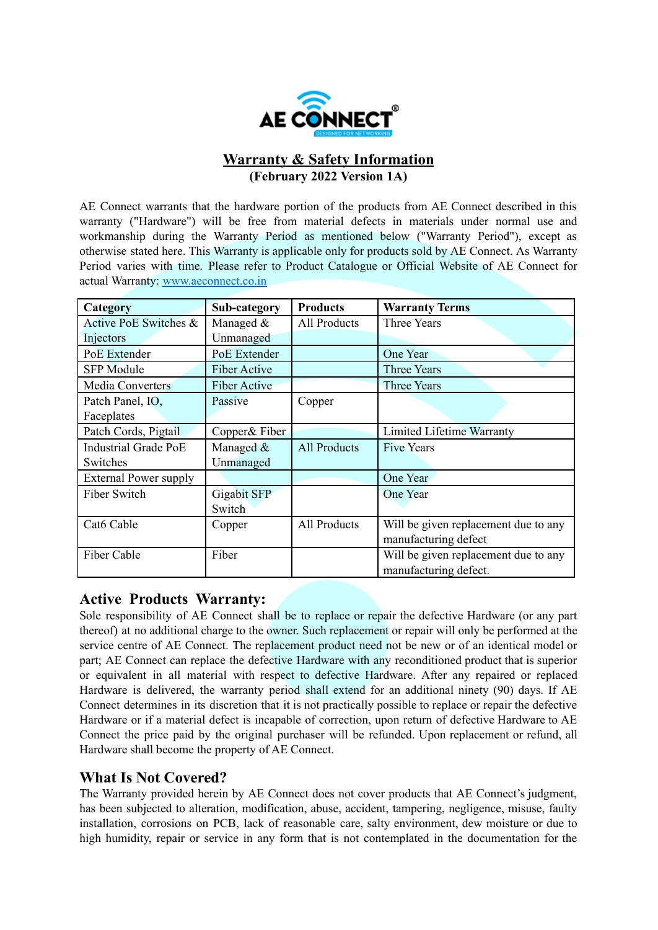

# **Warranty & Safety Information (February 2022 Version 1A)**

AE Connect warrants that the hardware portion of the products from AE Connect described in this warranty ("Hardware") will be free from material defects in materials under normal use and workmanship during the Warranty Period as mentioned below ("Warranty Period"), except as otherwise stated here. This Warranty is applicable only for products sold by AE Connect. As Warranty Period varies with time. Please refer to Product Catalogue or Official Website of AE Connect for actual Warranty: [www.aeconnect.co.in](http://www.aeconnect.co.in)

| Category                     | Sub-category        | <b>Products</b>     | <b>Warranty Terms</b>                |
|------------------------------|---------------------|---------------------|--------------------------------------|
| Active PoE Switches &        | Managed &           | All Products        | <b>Three Years</b>                   |
| Injectors                    | Unmanaged           |                     |                                      |
| PoE Extender                 | PoE Extender        |                     | One Year                             |
| <b>SFP</b> Module            | <b>Fiber Active</b> |                     | Three Years                          |
| <b>Media Converters</b>      | <b>Fiber Active</b> |                     | <b>Three Years</b>                   |
| Patch Panel, IO,             | Passive             | Copper              |                                      |
| Faceplates                   |                     |                     |                                      |
| Patch Cords, Pigtail         | Copper& Fiber       |                     | <b>Limited Lifetime Warranty</b>     |
| <b>Industrial Grade PoE</b>  | Managed &           | <b>All Products</b> | <b>Five Years</b>                    |
| Switches                     | Unmanaged           |                     |                                      |
| <b>External Power supply</b> |                     |                     | One Year                             |
| Fiber Switch                 | <b>Gigabit SFP</b>  |                     | One Year                             |
|                              | Switch              |                     |                                      |
| Cat6 Cable                   | Copper              | <b>All Products</b> | Will be given replacement due to any |
|                              |                     |                     | manufacturing defect                 |
| Fiber Cable                  | Fiber               |                     | Will be given replacement due to any |
|                              |                     |                     | manufacturing defect.                |

# **Active Products Warranty:**

Sole responsibility of AE Connect shall be to replace or repair the defective Hardware (or any part thereof) at no additional charge to the owner. Such replacement or repair will only be performed at the service centre of AE Connect. The replacement product need not be new or of an identical model or part; AE Connect can replace the defective Hardware with any reconditioned product that is superior or equivalent in all material with respect to defective Hardware. After any repaired or replaced Hardware is delivered, the warranty period shall extend for an additional ninety (90) days. If AE Connect determines in its discretion that it is not practically possible to replace or repair the defective Hardware or if a material defect is incapable of correction, upon return of defective Hardware to AE Connect the price paid by the original purchaser will be refunded. Upon replacement or refund, all Hardware shall become the property of AE Connect.

# **What Is Not Covered?**

The Warranty provided herein by AE Connect does not cover products that AE Connect's judgment, has been subjected to alteration, modification, abuse, accident, tampering, negligence, misuse, faulty installation, corrosions on PCB, lack of reasonable care, salty environment, dew moisture or due to high humidity, repair or service in any form that is not contemplated in the documentation for the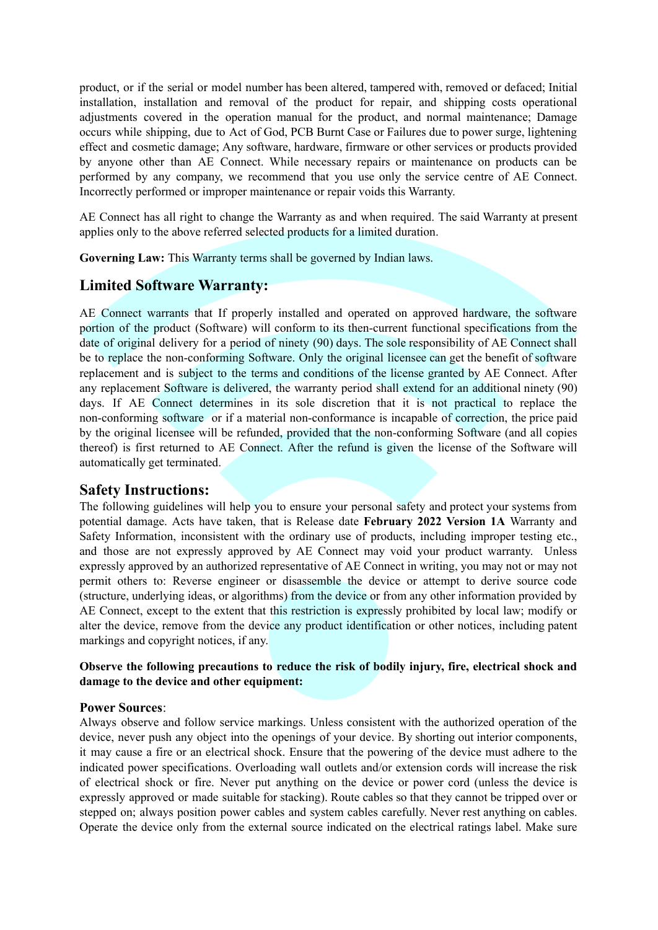product, or if the serial or model number has been altered, tampered with, removed or defaced; Initial installation, installation and removal of the product for repair, and shipping costs operational adjustments covered in the operation manual for the product, and normal maintenance; Damage occurs while shipping, due to Act of God, PCB Burnt Case or Failures due to power surge, lightening effect and cosmetic damage; Any software, hardware, firmware or other services or products provided by anyone other than AE Connect. While necessary repairs or maintenance on products can be performed by any company, we recommend that you use only the service centre of AE Connect. Incorrectly performed or improper maintenance or repair voids this Warranty.

AE Connect has all right to change the Warranty as and when required. The said Warranty at present applies only to the above referred selected products for a limited duration.

**Governing Law:** This Warranty terms shall be governed by Indian laws.

# **Limited Software Warranty:**

AE Connect warrants that If properly installed and operated on approved hardware, the software portion of the product (Software) will conform to its then-current functional specifications from the date of original delivery for a period of ninety (90) days. The sole responsibility of AE Connect shall be to replace the non-conforming Software. Only the original licensee can get the benefit of software replacement and is subject to the terms and conditions of the license granted by AE Connect. After any replacement Software is delivered, the warranty period shall extend for an additional ninety (90) days. If AE Connect determines in its sole discretion that it is not practical to replace the non-conforming software or if a material non-conformance is incapable of correction, the price paid by the original licensee will be refunded, provided that the non-conforming Software (and all copies thereof) is first returned to AE Connect. After the refund is given the license of the Software will automatically get terminated.

# **Safety Instructions:**

The following guidelines will help you to ensure your personal safety and protect your systems from potential damage. Acts have taken, that is Release date **February 2022 Version 1A** Warranty and Safety Information, inconsistent with the ordinary use of products, including improper testing etc., and those are not expressly approved by AE Connect may void your product warranty. Unless expressly approved by an authorized representative of AE Connect in writing, you may not or may not permit others to: Reverse engineer or disassemble the device or attempt to derive source code (structure, underlying ideas, or algorithms) from the device or from any other information provided by AE Connect, except to the extent that this restriction is expressly prohibited by local law; modify or alter the device, remove from the device any product identification or other notices, including patent markings and copyright notices, if any.

### **Observe the following precautions to reduce the risk of bodily injury, fire, electrical shock and damage to the device and other equipment:**

#### **Power Sources**:

Always observe and follow service markings. Unless consistent with the authorized operation of the device, never push any object into the openings of your device. By shorting out interior components, it may cause a fire or an electrical shock. Ensure that the powering of the device must adhere to the indicated power specifications. Overloading wall outlets and/or extension cords will increase the risk of electrical shock or fire. Never put anything on the device or power cord (unless the device is expressly approved or made suitable for stacking). Route cables so that they cannot be tripped over or stepped on; always position power cables and system cables carefully. Never rest anything on cables. Operate the device only from the external source indicated on the electrical ratings label. Make sure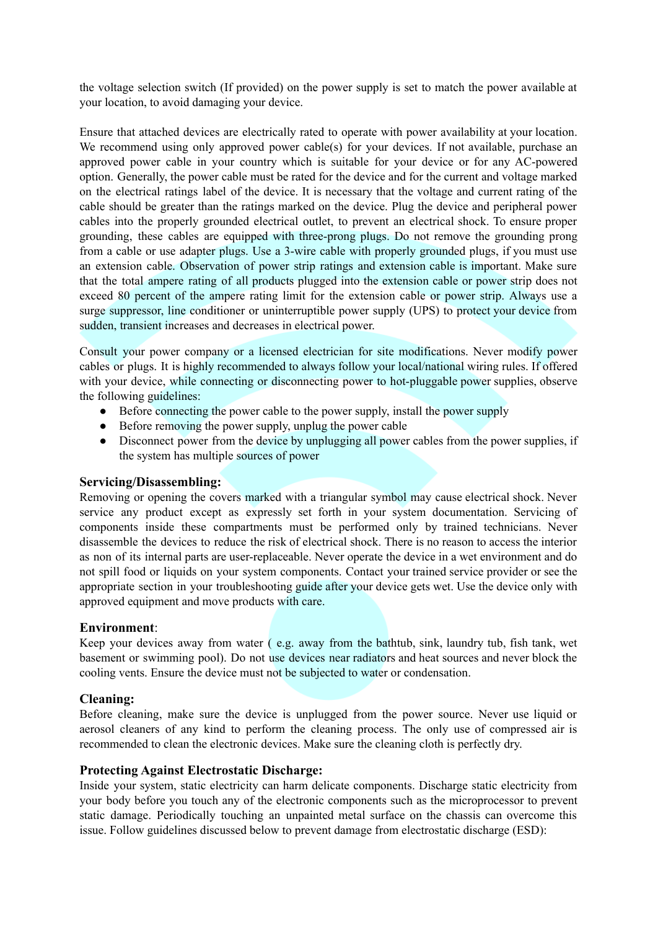the voltage selection switch (If provided) on the power supply is set to match the power available at your location, to avoid damaging your device.

Ensure that attached devices are electrically rated to operate with power availability at your location. We recommend using only approved power cable(s) for your devices. If not available, purchase an approved power cable in your country which is suitable for your device or for any AC-powered option. Generally, the power cable must be rated for the device and for the current and voltage marked on the electrical ratings label of the device. It is necessary that the voltage and current rating of the cable should be greater than the ratings marked on the device. Plug the device and peripheral power cables into the properly grounded electrical outlet, to prevent an electrical shock. To ensure proper grounding, these cables are equipped with three-prong plugs. Do not remove the grounding prong from a cable or use adapter plugs. Use a 3-wire cable with properly grounded plugs, if you must use an extension cable. Observation of power strip ratings and extension cable is important. Make sure that the total ampere rating of all products plugged into the extension cable or power strip does not exceed 80 percent of the ampere rating limit for the extension cable or power strip. Always use a surge suppressor, line conditioner or uninterruptible power supply (UPS) to protect your device from sudden, transient increases and decreases in electrical power.

Consult your power company or a licensed electrician for site modifications. Never modify power cables or plugs. It is highly recommended to always follow your local/national wiring rules. If offered with your device, while connecting or disconnecting power to hot-pluggable power supplies, observe the following guidelines:

- Before connecting the power cable to the power supply, install the power supply
- Before removing the power supply, unplug the power cable
- Disconnect power from the device by unplugging all power cables from the power supplies, if the system has multiple sources of power

#### **Servicing/Disassembling:**

Removing or opening the covers marked with a triangular symbol may cause electrical shock. Never service any product except as expressly set forth in your system documentation. Servicing of components inside these compartments must be performed only by trained technicians. Never disassemble the devices to reduce the risk of electrical shock. There is no reason to access the interior as non of its internal parts are user-replaceable. Never operate the device in a wet environment and do not spill food or liquids on your system components. Contact your trained service provider or see the appropriate section in your troubleshooting guide after your device gets wet. Use the device only with approved equipment and move products with care.

# **Environment**:

Keep your devices away from water ( e.g. away from the bathtub, sink, laundry tub, fish tank, wet basement or swimming pool). Do not use devices near radiators and heat sources and never block the cooling vents. Ensure the device must not be subjected to water or condensation.

# **Cleaning:**

Before cleaning, make sure the device is unplugged from the power source. Never use liquid or aerosol cleaners of any kind to perform the cleaning process. The only use of compressed air is recommended to clean the electronic devices. Make sure the cleaning cloth is perfectly dry.

# **Protecting Against Electrostatic Discharge:**

Inside your system, static electricity can harm delicate components. Discharge static electricity from your body before you touch any of the electronic components such as the microprocessor to prevent static damage. Periodically touching an unpainted metal surface on the chassis can overcome this issue. Follow guidelines discussed below to prevent damage from electrostatic discharge (ESD):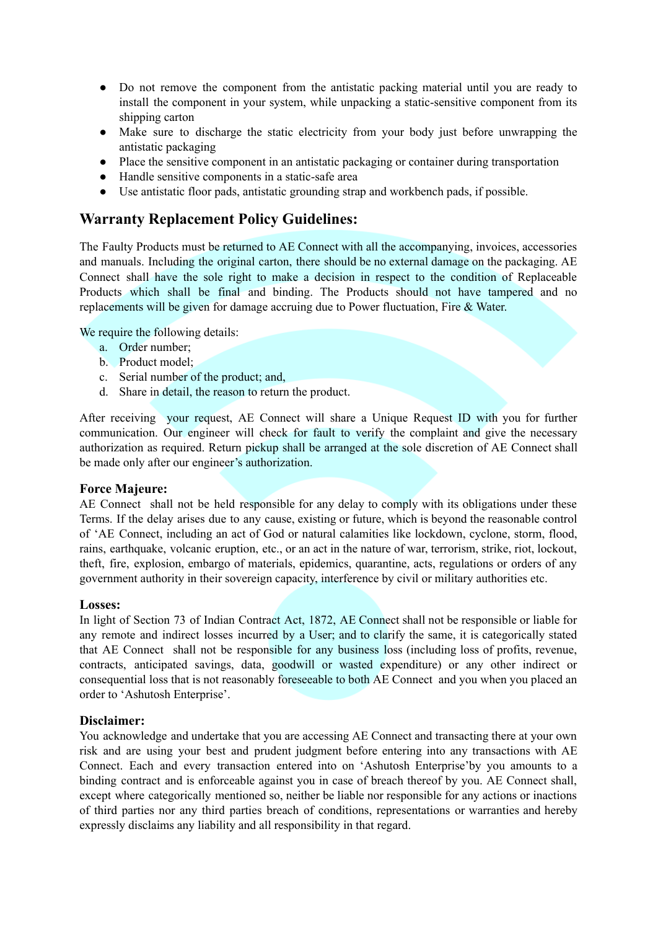- Do not remove the component from the antistatic packing material until you are ready to install the component in your system, while unpacking a static-sensitive component from its shipping carton
- Make sure to discharge the static electricity from your body just before unwrapping the antistatic packaging
- Place the sensitive component in an antistatic packaging or container during transportation
- Handle sensitive components in a static-safe area
- Use antistatic floor pads, antistatic grounding strap and workbench pads, if possible.

# **Warranty Replacement Policy Guidelines:**

The Faulty Products must be returned to AE Connect with all the accompanying, invoices, accessories and manuals. Including the original carton, there should be no external damage on the packaging. AE Connect shall have the sole right to make a decision in respect to the condition of Replaceable Products which shall be final and binding. The Products should not have tampered and no replacements will be given for damage accruing due to Power fluctuation, Fire & Water.

We require the following details:

- a. Order number;
- b. Product model;
- c. Serial number of the product; and,
- d. Share in detail, the reason to return the product.

After receiving your request, AE Connect will share a Unique Request ID with you for further communication. Our engineer will check for fault to verify the complaint and give the necessary authorization as required. Return pickup shall be arranged at the sole discretion of AE Connect shall be made only after our engineer's authorization.

### **Force Majeure:**

AE Connect shall not be held responsible for any delay to comply with its obligations under these Terms. If the delay arises due to any cause, existing or future, which is beyond the reasonable control of 'AE Connect, including an act of God or natural calamities like lockdown, cyclone, storm, flood, rains, earthquake, volcanic eruption, etc., or an act in the nature of war, terrorism, strike, riot, lockout, theft, fire, explosion, embargo of materials, epidemics, quarantine, acts, regulations or orders of any government authority in their sovereign capacity, interference by civil or military authorities etc.

#### **Losses:**

In light of Section 73 of Indian Contract Act, 1872, AE Connect shall not be responsible or liable for any remote and indirect losses incurred by a User; and to clarify the same, it is categorically stated that AE Connect shall not be responsible for any business loss (including loss of profits, revenue, contracts, anticipated savings, data, goodwill or wasted expenditure) or any other indirect or consequential loss that is not reasonably foreseeable to both AE Connect and you when you placed an order to 'Ashutosh Enterprise'.

#### **Disclaimer:**

You acknowledge and undertake that you are accessing AE Connect and transacting there at your own risk and are using your best and prudent judgment before entering into any transactions with AE Connect. Each and every transaction entered into on 'Ashutosh Enterprise'by you amounts to a binding contract and is enforceable against you in case of breach thereof by you. AE Connect shall, except where categorically mentioned so, neither be liable nor responsible for any actions or inactions of third parties nor any third parties breach of conditions, representations or warranties and hereby expressly disclaims any liability and all responsibility in that regard.